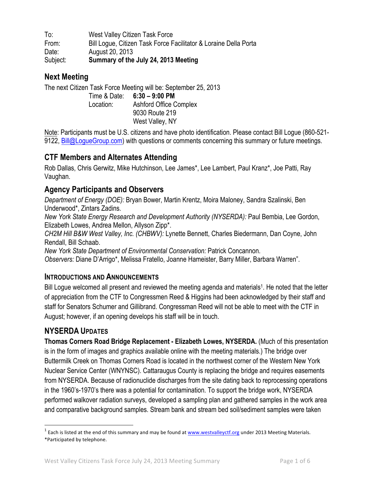To: West Valley Citizen Task Force From: Bill Logue, Citizen Task Force Facilitator & Loraine Della Porta Date: August 20, 2013 Subject: **Summary of the July 24, 2013 Meeting**

# **Next Meeting**

The next Citizen Task Force Meeting will be: September 25, 2013 Time & Date: **6:30 – 9:00 PM** Location: Ashford Office Complex 9030 Route 219

West Valley, NY

Note: Participants must be U.S. citizens and have photo identification. Please contact Bill Logue (860-521- 9122, Bill@LogueGroup.com) with questions or comments concerning this summary or future meetings.

# **CTF Members and Alternates Attending**

Rob Dallas, Chris Gerwitz, Mike Hutchinson, Lee James\*, Lee Lambert, Paul Kranz\*, Joe Patti, Ray Vaughan.

# **Agency Participants and Observers**

*Department of Energy (DOE):* Bryan Bower, Martin Krentz, Moira Maloney, Sandra Szalinski, Ben Underwood\*, Zintars Zadins*.* 

*New York State Energy Research and Development Authority (NYSERDA):* Paul Bembia, Lee Gordon, Elizabeth Lowes, Andrea Mellon, Allyson Zipp\*.

*CH2M Hill B&W West Valley, Inc. (CHBWV):* Lynette Bennett, Charles Biedermann, Dan Coyne, John Rendall, Bill Schaab.

*New York State Department of Environmental Conservation:* Patrick Concannon.

*Observers:* Diane D'Arrigo\*, Melissa Fratello, Joanne Hameister, Barry Miller, Barbara Warren".

#### **INTRODUCTIONS AND ANNOUNCEMENTS**

Bill Logue welcomed all present and reviewed the meeting agenda and materials<sup>1</sup>. He noted that the letter of appreciation from the CTF to Congressmen Reed & Higgins had been acknowledged by their staff and staff for Senators Schumer and Gillibrand. Congressman Reed will not be able to meet with the CTF in August; however, if an opening develops his staff will be in touch.

## **NYSERDA UPDATES**

**Thomas Corners Road Bridge Replacement - Elizabeth Lowes, NYSERDA.** (Much of this presentation is in the form of images and graphics available online with the meeting materials.) The bridge over Buttermilk Creek on Thomas Corners Road is located in the northwest corner of the Western New York Nuclear Service Center (WNYNSC). Cattaraugus County is replacing the bridge and requires easements from NYSERDA. Because of radionuclide discharges from the site dating back to reprocessing operations in the 1960's-1970's there was a potential for contamination. To support the bridge work, NYSERDA performed walkover radiation surveys, developed a sampling plan and gathered samples in the work area and comparative background samples. Stream bank and stream bed soil/sediment samples were taken

 $1$  Each is listed at the end of this summary and may be found at  $\frac{www.westvalleyctf.org}{}$  under 2013 Meeting Materials. \*Participated by telephone.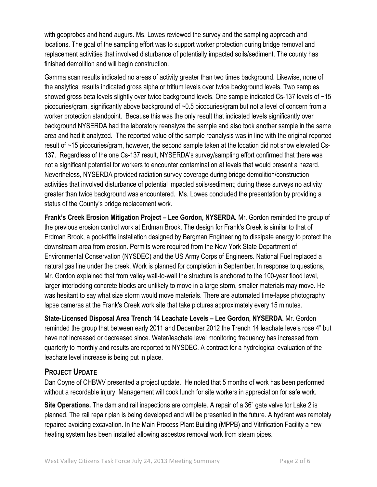with geoprobes and hand augurs. Ms. Lowes reviewed the survey and the sampling approach and locations. The goal of the sampling effort was to support worker protection during bridge removal and replacement activities that involved disturbance of potentially impacted soils/sediment. The county has finished demolition and will begin construction.

Gamma scan results indicated no areas of activity greater than two times background. Likewise, none of the analytical results indicated gross alpha or tritium levels over twice background levels. Two samples showed gross beta levels slightly over twice background levels. One sample indicated Cs-137 levels of ~15 picocuries/gram, significantly above background of ~0.5 picocuries/gram but not a level of concern from a worker protection standpoint. Because this was the only result that indicated levels significantly over background NYSERDA had the laboratory reanalyze the sample and also took another sample in the same area and had it analyzed. The reported value of the sample reanalysis was in line with the original reported result of ~15 picocuries/gram, however, the second sample taken at the location did not show elevated Cs-137. Regardless of the one Cs-137 result, NYSERDA's survey/sampling effort confirmed that there was not a significant potential for workers to encounter contamination at levels that would present a hazard. Nevertheless, NYSERDA provided radiation survey coverage during bridge demolition/construction activities that involved disturbance of potential impacted soils/sediment; during these surveys no activity greater than twice background was encountered. Ms. Lowes concluded the presentation by providing a status of the County's bridge replacement work.

**Frank's Creek Erosion Mitigation Project – Lee Gordon, NYSERDA.** Mr. Gordon reminded the group of the previous erosion control work at Erdman Brook. The design for Frank's Creek is similar to that of Erdman Brook, a pool-riffle installation designed by Bergman Engineering to dissipate energy to protect the downstream area from erosion. Permits were required from the New York State Department of Environmental Conservation (NYSDEC) and the US Army Corps of Engineers. National Fuel replaced a natural gas line under the creek. Work is planned for completion in September. In response to questions, Mr. Gordon explained that from valley wall-to-wall the structure is anchored to the 100-year flood level, larger interlocking concrete blocks are unlikely to move in a large storm, smaller materials may move. He was hesitant to say what size storm would move materials. There are automated time-lapse photography lapse cameras at the Frank's Creek work site that take pictures approximately every 15 minutes.

**State-Licensed Disposal Area Trench 14 Leachate Levels – Lee Gordon, NYSERDA.** Mr. Gordon reminded the group that between early 2011 and December 2012 the Trench 14 leachate levels rose 4" but have not increased or decreased since. Water/leachate level monitoring frequency has increased from quarterly to monthly and results are reported to NYSDEC. A contract for a hydrological evaluation of the leachate level increase is being put in place.

#### **PROJECT UPDATE**

Dan Coyne of CHBWV presented a project update. He noted that 5 months of work has been performed without a recordable injury. Management will cook lunch for site workers in appreciation for safe work.

**Site Operations.** The dam and rail inspections are complete. A repair of a 36" gate valve for Lake 2 is planned. The rail repair plan is being developed and will be presented in the future. A hydrant was remotely repaired avoiding excavation. In the Main Process Plant Building (MPPB) and Vitrification Facility a new heating system has been installed allowing asbestos removal work from steam pipes.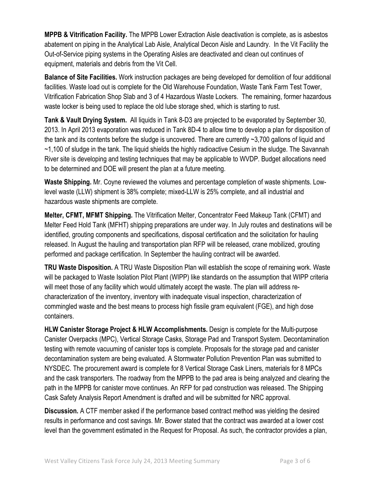**MPPB & Vitrification Facility.** The MPPB Lower Extraction Aisle deactivation is complete, as is asbestos abatement on piping in the Analytical Lab Aisle, Analytical Decon Aisle and Laundry. In the Vit Facility the Out-of-Service piping systems in the Operating Aisles are deactivated and clean out continues of equipment, materials and debris from the Vit Cell.

**Balance of Site Facilities.** Work instruction packages are being developed for demolition of four additional facilities. Waste load out is complete for the Old Warehouse Foundation, Waste Tank Farm Test Tower, Vitrification Fabrication Shop Slab and 3 of 4 Hazardous Waste Lockers. The remaining, former hazardous waste locker is being used to replace the old lube storage shed, which is starting to rust.

**Tank & Vault Drying System.** All liquids in Tank 8-D3 are projected to be evaporated by September 30, 2013. In April 2013 evaporation was reduced in Tank 8D-4 to allow time to develop a plan for disposition of the tank and its contents before the sludge is uncovered. There are currently ~3,700 gallons of liquid and ~1,100 of sludge in the tank. The liquid shields the highly radioactive Cesium in the sludge. The Savannah River site is developing and testing techniques that may be applicable to WVDP. Budget allocations need to be determined and DOE will present the plan at a future meeting.

**Waste Shipping.** Mr. Coyne reviewed the volumes and percentage completion of waste shipments. Lowlevel waste (LLW) shipment is 38% complete; mixed-LLW is 25% complete, and all industrial and hazardous waste shipments are complete.

**Melter, CFMT, MFMT Shipping.** The Vitrification Melter, Concentrator Feed Makeup Tank (CFMT) and Melter Feed Hold Tank (MFHT) shipping preparations are under way. In July routes and destinations will be identified, grouting components and specifications, disposal certification and the solicitation for hauling released. In August the hauling and transportation plan RFP will be released, crane mobilized, grouting performed and package certification. In September the hauling contract will be awarded.

**TRU Waste Disposition.** A TRU Waste Disposition Plan will establish the scope of remaining work. Waste will be packaged to Waste Isolation Pilot Plant (WIPP) like standards on the assumption that WIPP criteria will meet those of any facility which would ultimately accept the waste. The plan will address recharacterization of the inventory, inventory with inadequate visual inspection, characterization of commingled waste and the best means to process high fissile gram equivalent (FGE), and high dose containers.

**HLW Canister Storage Project & HLW Accomplishments.** Design is complete for the Multi-purpose Canister Overpacks (MPC), Vertical Storage Casks, Storage Pad and Transport System. Decontamination testing with remote vacuuming of canister tops is complete. Proposals for the storage pad and canister decontamination system are being evaluated. A Stormwater Pollution Prevention Plan was submitted to NYSDEC. The procurement award is complete for 8 Vertical Storage Cask Liners, materials for 8 MPCs and the cask transporters. The roadway from the MPPB to the pad area is being analyzed and clearing the path in the MPPB for canister move continues. An RFP for pad construction was released. The Shipping Cask Safety Analysis Report Amendment is drafted and will be submitted for NRC approval.

**Discussion.** A CTF member asked if the performance based contract method was yielding the desired results in performance and cost savings. Mr. Bower stated that the contract was awarded at a lower cost level than the government estimated in the Request for Proposal. As such, the contractor provides a plan,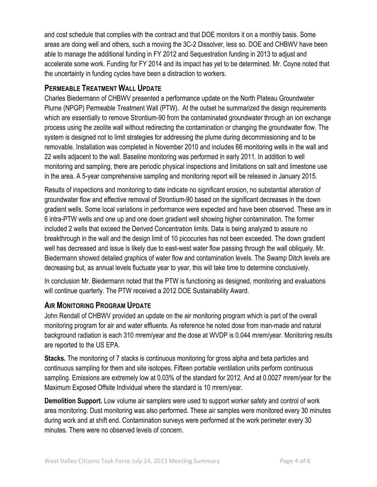and cost schedule that complies with the contract and that DOE monitors it on a monthly basis. Some areas are doing well and others, such a moving the 3C-2 Dissolver, less so. DOE and CHBWV have been able to manage the additional funding in FY 2012 and Sequestration funding in 2013 to adjust and accelerate some work. Funding for FY 2014 and its impact has yet to be determined. Mr. Coyne noted that the uncertainty in funding cycles have been a distraction to workers.

# **PERMEABLE TREATMENT WALL UPDATE**

Charles Biedermann of CHBWV presented a performance update on the North Plateau Groundwater Plume (NPGP) Permeable Treatment Wall (PTW). At the outset he summarized the design requirements which are essentially to remove Strontium-90 from the contaminated groundwater through an ion exchange process using the zeolite wall without redirecting the contamination or changing the groundwater flow. The system is designed not to limit strategies for addressing the plume during decommissioning and to be removable. Installation was completed in November 2010 and includes 66 monitoring wells in the wall and 22 wells adjacent to the wall. Baseline monitoring was performed in early 2011. In addition to well monitoring and sampling, there are periodic physical inspections and limitations on salt and limestone use in the area. A 5-year comprehensive sampling and monitoring report will be released in January 2015.

Results of inspections and monitoring to date indicate no significant erosion, no substantial alteration of groundwater flow and effective removal of Strontium-90 based on the significant decreases in the down gradient wells. Some local variations in performance were expected and have been observed. These are in 6 intra-PTW wells and one up and one down gradient well showing higher contamination. The former included 2 wells that exceed the Derived Concentration limits. Data is being analyzed to assure no breakthrough in the wall and the design limit of 10 picocuries has not been exceeded. The down gradient well has decreased and issue is likely due to east-west water flow passing through the wall obliquely. Mr. Biedermann showed detailed graphics of water flow and contamination levels. The Swamp Ditch levels are decreasing but, as annual levels fluctuate year to year, this will take time to determine conclusively.

In conclusion Mr. Biedermann noted that the PTW is functioning as designed, monitoring and evaluations will continue quarterly. The PTW received a 2012 DOE Sustainability Award.

## **AIR MONITORING PROGRAM UPDATE**

John Rendall of CHBWV provided an update on the air monitoring program which is part of the overall monitoring program for air and water effluents. As reference he noted dose from man-made and natural background radiation is each 310 mrem/year and the dose at WVDP is 0.044 mrem/year. Monitoring results are reported to the US EPA.

**Stacks.** The monitoring of 7 stacks is continuous monitoring for gross alpha and beta particles and continuous sampling for them and site isotopes. Fifteen portable ventilation units perform continuous sampling. Emissions are extremely low at 0.03% of the standard for 2012. And at 0.0027 mrem/year for the Maximum Exposed Offsite Individual where the standard is 10 mrem/year.

**Demolition Support.** Low volume air samplers were used to support worker safety and control of work area monitoring. Dust monitoring was also performed. These air samples were monitored every 30 minutes during work and at shift end. Contamination surveys were performed at the work perimeter every 30 minutes. There were no observed levels of concern.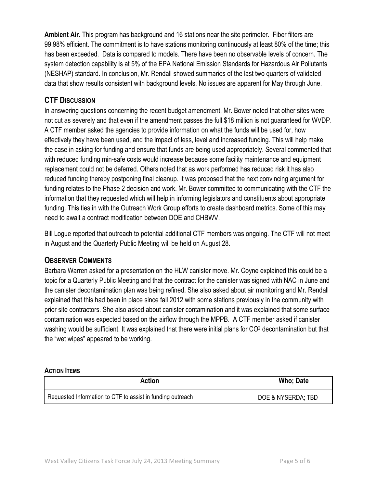**Ambient Air.** This program has background and 16 stations near the site perimeter. Fiber filters are 99.98% efficient. The commitment is to have stations monitoring continuously at least 80% of the time; this has been exceeded. Data is compared to models. There have been no observable levels of concern. The system detection capability is at 5% of the EPA National Emission Standards for Hazardous Air Pollutants (NESHAP) standard. In conclusion, Mr. Rendall showed summaries of the last two quarters of validated data that show results consistent with background levels. No issues are apparent for May through June.

### **CTF DISCUSSION**

In answering questions concerning the recent budget amendment, Mr. Bower noted that other sites were not cut as severely and that even if the amendment passes the full \$18 million is not guaranteed for WVDP. A CTF member asked the agencies to provide information on what the funds will be used for, how effectively they have been used, and the impact of less, level and increased funding. This will help make the case in asking for funding and ensure that funds are being used appropriately. Several commented that with reduced funding min-safe costs would increase because some facility maintenance and equipment replacement could not be deferred. Others noted that as work performed has reduced risk it has also reduced funding thereby postponing final cleanup. It was proposed that the next convincing argument for funding relates to the Phase 2 decision and work. Mr. Bower committed to communicating with the CTF the information that they requested which will help in informing legislators and constituents about appropriate funding. This ties in with the Outreach Work Group efforts to create dashboard metrics. Some of this may need to await a contract modification between DOE and CHBWV.

Bill Logue reported that outreach to potential additional CTF members was ongoing. The CTF will not meet in August and the Quarterly Public Meeting will be held on August 28.

## **OBSERVER COMMENTS**

Barbara Warren asked for a presentation on the HLW canister move. Mr. Coyne explained this could be a topic for a Quarterly Public Meeting and that the contract for the canister was signed with NAC in June and the canister decontamination plan was being refined. She also asked about air monitoring and Mr. Rendall explained that this had been in place since fall 2012 with some stations previously in the community with prior site contractors. She also asked about canister contamination and it was explained that some surface contamination was expected based on the airflow through the MPPB. A CTF member asked if canister washing would be sufficient. It was explained that there were initial plans for CO<sup>2</sup> decontamination but that the "wet wipes" appeared to be working.

#### **ACTION ITEMS**

| Action                                                     | Who; Date                     |
|------------------------------------------------------------|-------------------------------|
| Requested Information to CTF to assist in funding outreach | <b>DOE &amp; NYSERDA; TBD</b> |